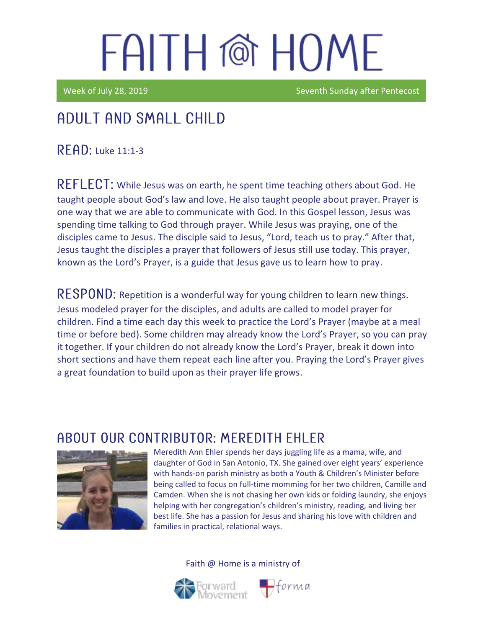Week of July 28, 2019 **Seventh Sunday after Pentecost** 

### Adult and Small Child

**READ: Luke 11:1-3** 

REFLECT: While Jesus was on earth, he spent time teaching others about God. He taught people about God's law and love. He also taught people about prayer. Prayer is one way that we are able to communicate with God. In this Gospel lesson, Jesus was spending time talking to God through prayer. While Jesus was praying, one of the disciples came to Jesus. The disciple said to Jesus, "Lord, teach us to pray." After that, Jesus taught the disciples a prayer that followers of Jesus still use today. This prayer, known as the Lord's Prayer, is a guide that Jesus gave us to learn how to pray.

RESPOND: Repetition is a wonderful way for young children to learn new things. Jesus modeled prayer for the disciples, and adults are called to model prayer for children. Find a time each day this week to practice the Lord's Prayer (maybe at a meal time or before bed). Some children may already know the Lord's Prayer, so you can pray it together. If your children do not already know the Lord's Prayer, break it down into short sections and have them repeat each line after you. Praying the Lord's Prayer gives a great foundation to build upon as their prayer life grows.

### ABOUT OUR CONTRIBUTOR: MEREDITH EHI ER



Meredith Ann Ehler spends her days juggling life as a mama, wife, and daughter of God in San Antonio, TX. She gained over eight years' experience with hands-on parish ministry as both a Youth & Children's Minister before being called to focus on full-time momming for her two children, Camille and Camden. When she is not chasing her own kids or folding laundry, she enjoys helping with her congregation's children's ministry, reading, and living her best life. She has a passion for Jesus and sharing his love with children and families in practical, relational ways.

 $\blacksquare$ forma



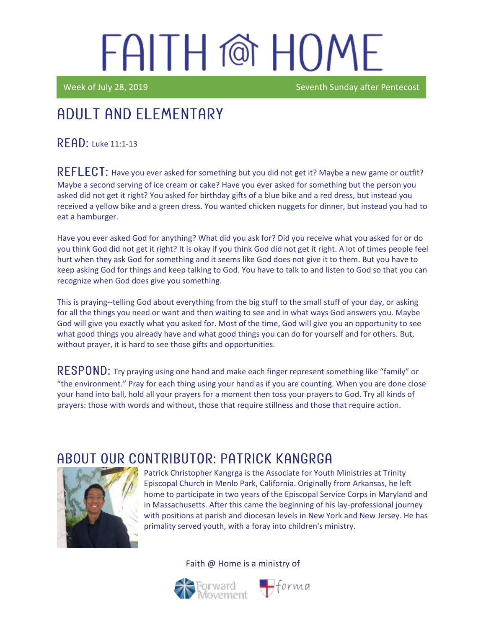Week of July 28, 2019 Seventh Sunday after Pentecost

### Adult and elementary

#### RFAD: Luke 11:1-13

REFLECT: Have you ever asked for something but you did not get it? Maybe a new game or outfit? Maybe a second serving of ice cream or cake? Have you ever asked for something but the person you asked did not get it right? You asked for birthday gifts of a blue bike and a red dress, but instead you received a yellow bike and a green dress. You wanted chicken nuggets for dinner, but instead you had to eat a hamburger.

Have you ever asked God for anything? What did you ask for? Did you receive what you asked for or do you think God did not get it right? It is okay if you think God did not get it right. A lot of times people feel hurt when they ask God for something and it seems like God does not give it to them. But you have to keep asking God for things and keep talking to God. You have to talk to and listen to God so that you can recognize when God does give you something.

This is praying--telling God about everything from the big stuff to the small stuff of your day, or asking for all the things you need or want and then waiting to see and in what ways God answers you. Maybe God will give you exactly what you asked for. Most of the time, God will give you an opportunity to see what good things you already have and what good things you can do for yourself and for others. But, without prayer, it is hard to see those gifts and opportunities.

 **Try praying using one hand and make each finger represent something like "family" or** "the environment." Pray for each thing using your hand as if you are counting. When you are done close your hand into ball, hold all your prayers for a moment then toss your prayers to God. Try all kinds of prayers: those with words and without, those that require stillness and those that require action.

### ABOUT OUR CONTRIBUTOR: PATRICK KANGRGA



Patrick Christopher Kangrga is the Associate for Youth Ministries at Trinity Episcopal Church in Menlo Park, California. Originally from Arkansas, he left home to participate in two years of the Episcopal Service Corps in Maryland and in Massachusetts. After this came the beginning of his lay-professional journey with positions at parish and diocesan levels in New York and New Jersey. He has primality served youth, with a foray into children's ministry.

Faith @ Home is a ministry of



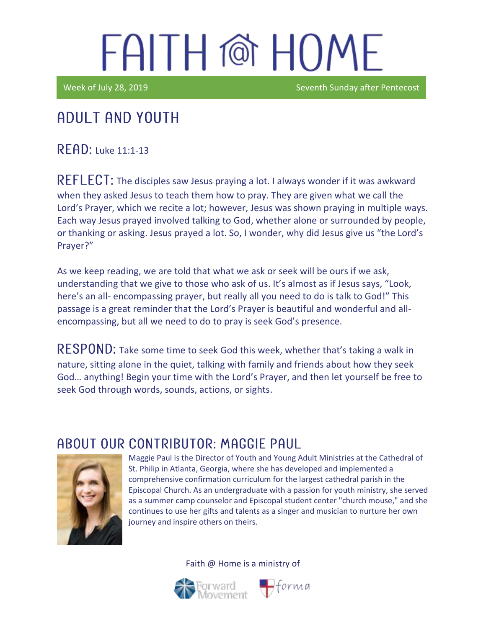Week of July 28, 2019 Seventh Sunday after Pentecost

#### I Adult and youth

 $R$   $F$  $R$  $D$ : Luke 11:1-13

REFLECT: The disciples saw Jesus praying a lot. I always wonder if it was awkward when they asked Jesus to teach them how to pray. They are given what we call the Lord's Prayer, which we recite a lot; however, Jesus was shown praying in multiple ways. Each way Jesus prayed involved talking to God, whether alone or surrounded by people, or thanking or asking. Jesus prayed a lot. So, I wonder, why did Jesus give us "the Lord's Prayer?"

As we keep reading, we are told that what we ask or seek will be ours if we ask, understanding that we give to those who ask of us. It's almost as if Jesus says, "Look, here's an all- encompassing prayer, but really all you need to do is talk to God!" This passage is a great reminder that the Lord's Prayer is beautiful and wonderful and allencompassing, but all we need to do to pray is seek God's presence.

RESPOND: Take some time to seek God this week, whether that's taking a walk in nature, sitting alone in the quiet, talking with family and friends about how they seek God… anything! Begin your time with the Lord's Prayer, and then let yourself be free to seek God through words, sounds, actions, or sights.

#### ABOUT OUR CONTRIBUTOR: MAGGIE PAUL



Maggie Paul is the Director of Youth and Young Adult Ministries at the Cathedral of St. Philip in Atlanta, Georgia, where she has developed and implemented a comprehensive confirmation curriculum for the largest cathedral parish in the Episcopal Church. As an undergraduate with a passion for youth ministry, she served as a summer camp counselor and Episcopal student center "church mouse," and she continues to use her gifts and talents as a singer and musician to nurture her own journey and inspire others on theirs.